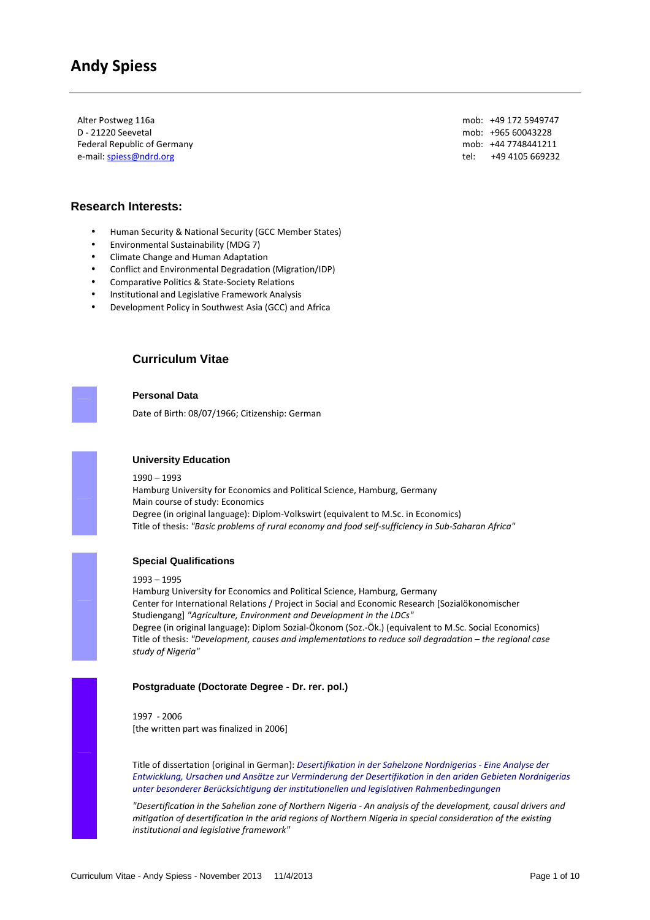Alter Postweg 116a D - 21220 Seevetal Federal Republic of Germany e-mail: spiess@ndrd.org

mob: +49 172 5949747 mob: +965 60043228 mob: +44 7748441211 tel: +49 4105 669232

# **Research Interests:**

- Human Security & National Security (GCC Member States)
- Environmental Sustainability (MDG 7)
- Climate Change and Human Adaptation
- Conflict and Environmental Degradation (Migration/IDP)
- Comparative Politics & State-Society Relations
- Institutional and Legislative Framework Analysis
- Development Policy in Southwest Asia (GCC) and Africa

# **Curriculum Vitae**

**Personal Data**

Date of Birth: 08/07/1966; Citizenship: German



# **University Education**

1990 – 1993 Hamburg University for Economics and Political Science, Hamburg, Germany Main course of study: Economics Degree (in original language): Diplom-Volkswirt (equivalent to M.Sc. in Economics) Title of thesis: *"Basic problems of rural economy and food self-sufficiency in Sub-Saharan Africa"*



# **Special Qualifications**

1993 – 1995

Hamburg University for Economics and Political Science, Hamburg, Germany Center for International Relations / Project in Social and Economic Research [Sozialökonomischer Studiengang] *"Agriculture, Environment and Development in the LDCs"*  Degree (in original language): Diplom Sozial-Ökonom (Soz.-Ök.) (equivalent to M.Sc. Social Economics) Title of thesis: *"Development, causes and implementations to reduce soil degradation – the regional case study of Nigeria"*

# **Postgraduate (Doctorate Degree - Dr. rer. pol.)**

1997 - 2006 [the written part was finalized in 2006]

Title of dissertation (original in German): *Desertifikation in der Sahelzone Nordnigerias - Eine Analyse der Entwicklung, Ursachen und Ansätze zur Verminderung der Desertifikation in den ariden Gebieten Nordnigerias unter besonderer Berücksichtigung der institutionellen und legislativen Rahmenbedingungen* 

*"Desertification in the Sahelian zone of Northern Nigeria - An analysis of the development, causal drivers and mitigation of desertification in the arid regions of Northern Nigeria in special consideration of the existing institutional and legislative framework"*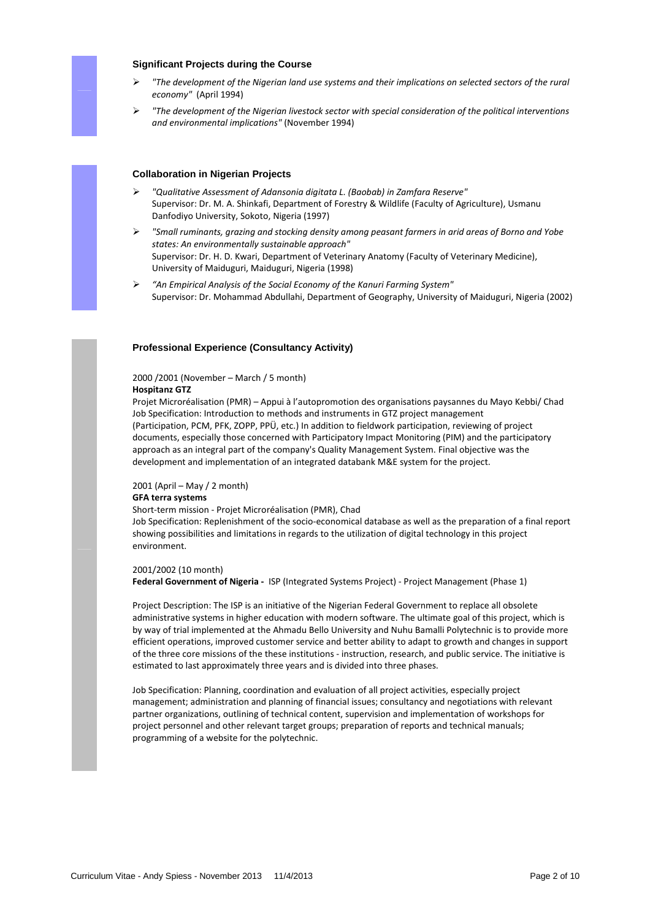

# **Significant Projects during the Course**

- *"The development of the Nigerian land use systems and their implications on selected sectors of the rural economy"* (April 1994)
- *"The development of the Nigerian livestock sector with special consideration of the political interventions and environmental implications"* (November 1994)

# **Collaboration in Nigerian Projects**

- *"Qualitative Assessment of Adansonia digitata L. (Baobab) in Zamfara Reserve"*  Supervisor: Dr. M. A. Shinkafi, Department of Forestry & Wildlife (Faculty of Agriculture), Usmanu Danfodiyo University, Sokoto, Nigeria (1997)
- *"Small ruminants, grazing and stocking density among peasant farmers in arid areas of Borno and Yobe states: An environmentally sustainable approach"*  Supervisor: Dr. H. D. Kwari, Department of Veterinary Anatomy (Faculty of Veterinary Medicine), University of Maiduguri, Maiduguri, Nigeria (1998)
- *"An Empirical Analysis of the Social Economy of the Kanuri Farming System"*  Supervisor: Dr. Mohammad Abdullahi, Department of Geography, University of Maiduguri, Nigeria (2002)

### **Professional Experience (Consultancy Activity)**

# 2000 /2001 (November – March / 5 month)

# **Hospitanz GTZ**

Projet Microréalisation (PMR) – Appui à l'autopromotion des organisations paysannes du Mayo Kebbi/ Chad Job Specification: Introduction to methods and instruments in GTZ project management (Participation, PCM, PFK, ZOPP, PPÜ, etc.) In addition to fieldwork participation, reviewing of project documents, especially those concerned with Participatory Impact Monitoring (PIM) and the participatory approach as an integral part of the company's Quality Management System. Final objective was the development and implementation of an integrated databank M&E system for the project.

#### 2001 (April – May / 2 month)

#### **GFA terra systems**

Short-term mission - Projet Microréalisation (PMR), Chad

Job Specification: Replenishment of the socio-economical database as well as the preparation of a final report showing possibilities and limitations in regards to the utilization of digital technology in this project environment.

#### 2001/2002 (10 month)

**Federal Government of Nigeria -** ISP (Integrated Systems Project) - Project Management (Phase 1)

Project Description: The ISP is an initiative of the Nigerian Federal Government to replace all obsolete administrative systems in higher education with modern software. The ultimate goal of this project, which is by way of trial implemented at the Ahmadu Bello University and Nuhu Bamalli Polytechnic is to provide more efficient operations, improved customer service and better ability to adapt to growth and changes in support of the three core missions of the these institutions - instruction, research, and public service. The initiative is estimated to last approximately three years and is divided into three phases.

Job Specification: Planning, coordination and evaluation of all project activities, especially project management; administration and planning of financial issues; consultancy and negotiations with relevant partner organizations, outlining of technical content, supervision and implementation of workshops for project personnel and other relevant target groups; preparation of reports and technical manuals; programming of a website for the polytechnic.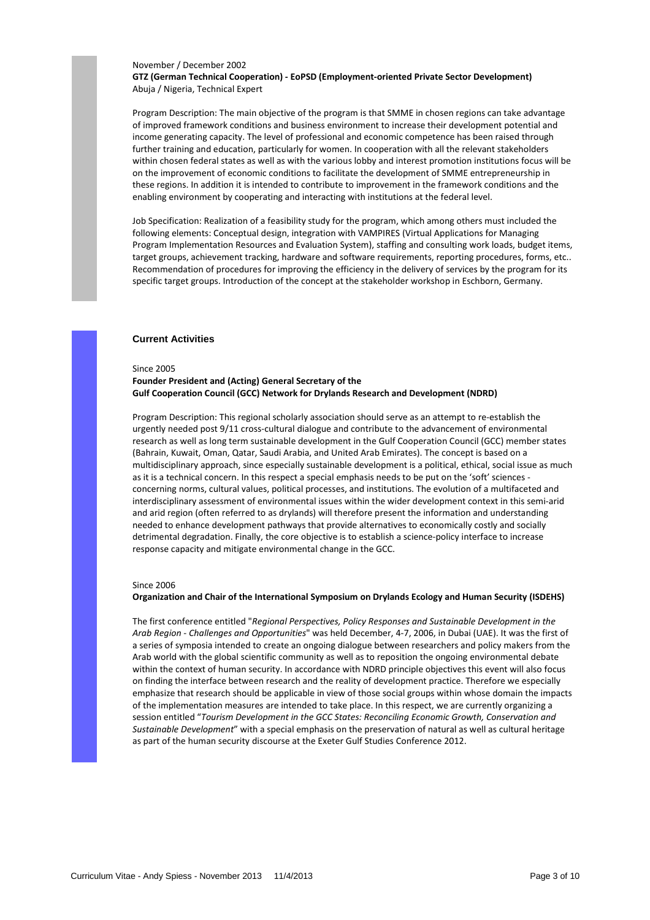#### November / December 2002

**GTZ (German Technical Cooperation) - EoPSD (Employment-oriented Private Sector Development)**  Abuja / Nigeria, Technical Expert

Program Description: The main objective of the program is that SMME in chosen regions can take advantage of improved framework conditions and business environment to increase their development potential and income generating capacity. The level of professional and economic competence has been raised through further training and education, particularly for women. In cooperation with all the relevant stakeholders within chosen federal states as well as with the various lobby and interest promotion institutions focus will be on the improvement of economic conditions to facilitate the development of SMME entrepreneurship in these regions. In addition it is intended to contribute to improvement in the framework conditions and the enabling environment by cooperating and interacting with institutions at the federal level.

Job Specification: Realization of a feasibility study for the program, which among others must included the following elements: Conceptual design, integration with VAMPIRES (Virtual Applications for Managing Program Implementation Resources and Evaluation System), staffing and consulting work loads, budget items, target groups, achievement tracking, hardware and software requirements, reporting procedures, forms, etc.. Recommendation of procedures for improving the efficiency in the delivery of services by the program for its specific target groups. Introduction of the concept at the stakeholder workshop in Eschborn, Germany.

#### **Current Activities**

#### Since 2005

# **Founder President and (Acting) General Secretary of the Gulf Cooperation Council (GCC) Network for Drylands Research and Development (NDRD)**

Program Description: This regional scholarly association should serve as an attempt to re-establish the urgently needed post 9/11 cross-cultural dialogue and contribute to the advancement of environmental research as well as long term sustainable development in the Gulf Cooperation Council (GCC) member states (Bahrain, Kuwait, Oman, Qatar, Saudi Arabia, and United Arab Emirates). The concept is based on a multidisciplinary approach, since especially sustainable development is a political, ethical, social issue as much as it is a technical concern. In this respect a special emphasis needs to be put on the 'soft' sciences concerning norms, cultural values, political processes, and institutions. The evolution of a multifaceted and interdisciplinary assessment of environmental issues within the wider development context in this semi-arid and arid region (often referred to as drylands) will therefore present the information and understanding needed to enhance development pathways that provide alternatives to economically costly and socially detrimental degradation. Finally, the core objective is to establish a science-policy interface to increase response capacity and mitigate environmental change in the GCC.

#### Since 2006

#### **Organization and Chair of the International Symposium on Drylands Ecology and Human Security (ISDEHS)**

The first conference entitled "*Regional Perspectives, Policy Responses and Sustainable Development in the Arab Region - Challenges and Opportunities*" was held December, 4-7, 2006, in Dubai (UAE). It was the first of a series of symposia intended to create an ongoing dialogue between researchers and policy makers from the Arab world with the global scientific community as well as to reposition the ongoing environmental debate within the context of human security. In accordance with NDRD principle objectives this event will also focus on finding the interface between research and the reality of development practice. Therefore we especially emphasize that research should be applicable in view of those social groups within whose domain the impacts of the implementation measures are intended to take place. In this respect, we are currently organizing a session entitled "*Tourism Development in the GCC States: Reconciling Economic Growth, Conservation and Sustainable Development*" with a special emphasis on the preservation of natural as well as cultural heritage as part of the human security discourse at the Exeter Gulf Studies Conference 2012.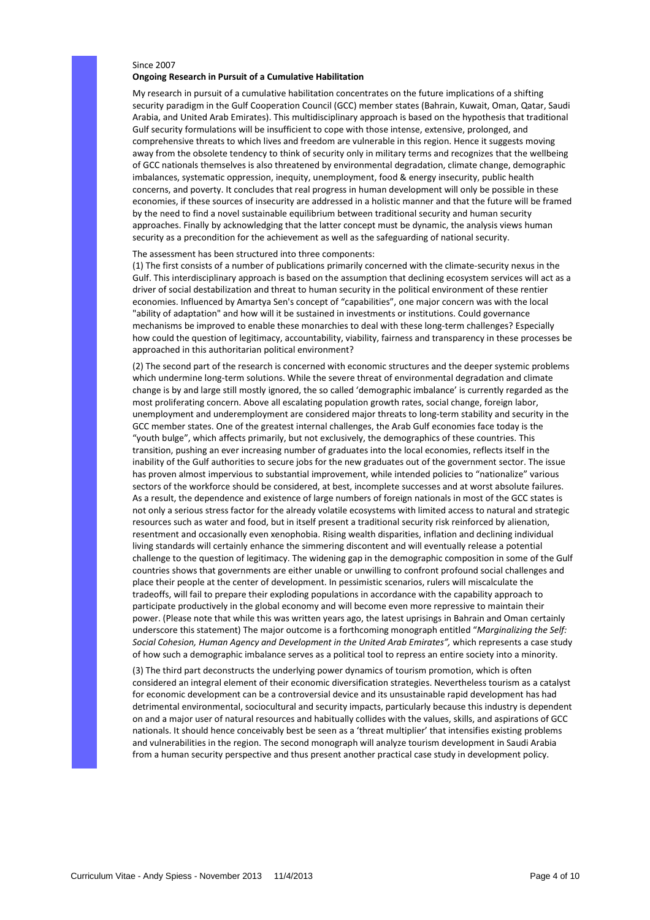### Since 2007 **Ongoing Research in Pursuit of a Cumulative Habilitation**

My research in pursuit of a cumulative habilitation concentrates on the future implications of a shifting security paradigm in the Gulf Cooperation Council (GCC) member states (Bahrain, Kuwait, Oman, Qatar, Saudi Arabia, and United Arab Emirates). This multidisciplinary approach is based on the hypothesis that traditional Gulf security formulations will be insufficient to cope with those intense, extensive, prolonged, and comprehensive threats to which lives and freedom are vulnerable in this region. Hence it suggests moving away from the obsolete tendency to think of security only in military terms and recognizes that the wellbeing of GCC nationals themselves is also threatened by environmental degradation, climate change, demographic imbalances, systematic oppression, inequity, unemployment, food & energy insecurity, public health concerns, and poverty. It concludes that real progress in human development will only be possible in these economies, if these sources of insecurity are addressed in a holistic manner and that the future will be framed by the need to find a novel sustainable equilibrium between traditional security and human security approaches. Finally by acknowledging that the latter concept must be dynamic, the analysis views human security as a precondition for the achievement as well as the safeguarding of national security.

#### The assessment has been structured into three components:

(1) The first consists of a number of publications primarily concerned with the climate-security nexus in the Gulf. This interdisciplinary approach is based on the assumption that declining ecosystem services will act as a driver of social destabilization and threat to human security in the political environment of these rentier economies. Influenced by Amartya Sen's concept of "capabilities", one major concern was with the local "ability of adaptation" and how will it be sustained in investments or institutions. Could governance mechanisms be improved to enable these monarchies to deal with these long-term challenges? Especially how could the question of legitimacy, accountability, viability, fairness and transparency in these processes be approached in this authoritarian political environment?

(2) The second part of the research is concerned with economic structures and the deeper systemic problems which undermine long-term solutions. While the severe threat of environmental degradation and climate change is by and large still mostly ignored, the so called 'demographic imbalance' is currently regarded as the most proliferating concern. Above all escalating population growth rates, social change, foreign labor, unemployment and underemployment are considered major threats to long-term stability and security in the GCC member states. One of the greatest internal challenges, the Arab Gulf economies face today is the "youth bulge", which affects primarily, but not exclusively, the demographics of these countries. This transition, pushing an ever increasing number of graduates into the local economies, reflects itself in the inability of the Gulf authorities to secure jobs for the new graduates out of the government sector. The issue has proven almost impervious to substantial improvement, while intended policies to "nationalize" various sectors of the workforce should be considered, at best, incomplete successes and at worst absolute failures. As a result, the dependence and existence of large numbers of foreign nationals in most of the GCC states is not only a serious stress factor for the already volatile ecosystems with limited access to natural and strategic resources such as water and food, but in itself present a traditional security risk reinforced by alienation, resentment and occasionally even xenophobia. Rising wealth disparities, inflation and declining individual living standards will certainly enhance the simmering discontent and will eventually release a potential challenge to the question of legitimacy. The widening gap in the demographic composition in some of the Gulf countries shows that governments are either unable or unwilling to confront profound social challenges and place their people at the center of development. In pessimistic scenarios, rulers will miscalculate the tradeoffs, will fail to prepare their exploding populations in accordance with the capability approach to participate productively in the global economy and will become even more repressive to maintain their power. (Please note that while this was written years ago, the latest uprisings in Bahrain and Oman certainly underscore this statement) The major outcome is a forthcoming monograph entitled "*Marginalizing the Self:*  Social Cohesion, Human Agency and Development in the United Arab Emirates", which represents a case study of how such a demographic imbalance serves as a political tool to repress an entire society into a minority.

(3) The third part deconstructs the underlying power dynamics of tourism promotion, which is often considered an integral element of their economic diversification strategies. Nevertheless tourism as a catalyst for economic development can be a controversial device and its unsustainable rapid development has had detrimental environmental, sociocultural and security impacts, particularly because this industry is dependent on and a major user of natural resources and habitually collides with the values, skills, and aspirations of GCC nationals. It should hence conceivably best be seen as a 'threat multiplier' that intensifies existing problems and vulnerabilities in the region. The second monograph will analyze tourism development in Saudi Arabia from a human security perspective and thus present another practical case study in development policy.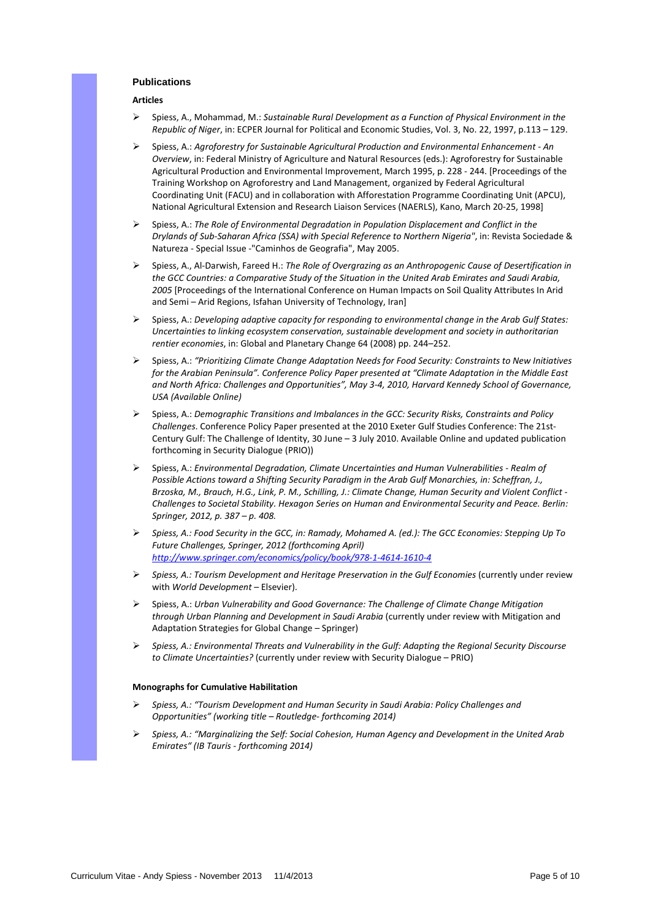# **Publications**

# **Articles**

- Spiess, A., Mohammad, M.: *Sustainable Rural Development as a Function of Physical Environment in the Republic of Niger*, in: ECPER Journal for Political and Economic Studies, Vol. 3, No. 22, 1997, p.113 – 129.
- Spiess, A.: *Agroforestry for Sustainable Agricultural Production and Environmental Enhancement An Overview*, in: Federal Ministry of Agriculture and Natural Resources (eds.): Agroforestry for Sustainable Agricultural Production and Environmental Improvement, March 1995, p. 228 - 244. [Proceedings of the Training Workshop on Agroforestry and Land Management, organized by Federal Agricultural Coordinating Unit (FACU) and in collaboration with Afforestation Programme Coordinating Unit (APCU), National Agricultural Extension and Research Liaison Services (NAERLS), Kano, March 20-25, 1998]
- Spiess, A.: *The Role of Environmental Degradation in Population Displacement and Conflict in the Drylands of Sub-Saharan Africa (SSA) with Special Reference to Northern Nigeria"*, in: Revista Sociedade & Natureza - Special Issue -"Caminhos de Geografia", May 2005.
- Spiess, A., Al-Darwish, Fareed H.: *The Role of Overgrazing as an Anthropogenic Cause of Desertification in the GCC Countries: a Comparative Study of the Situation in the United Arab Emirates and Saudi Arabia, 2005* [Proceedings of the International Conference on Human Impacts on Soil Quality Attributes In Arid and Semi – Arid Regions, Isfahan University of Technology, Iran]
- Spiess, A.: *Developing adaptive capacity for responding to environmental change in the Arab Gulf States: Uncertainties to linking ecosystem conservation, sustainable development and society in authoritarian rentier economies*, in: Global and Planetary Change 64 (2008) pp. 244–252.
- Spiess, A.: *"Prioritizing Climate Change Adaptation Needs for Food Security: Constraints to New Initiatives for the Arabian Peninsula". Conference Policy Paper presented at "Climate Adaptation in the Middle East and North Africa: Challenges and Opportunities", May 3-4, 2010, Harvard Kennedy School of Governance, USA (Available Online)*
- Spiess, A.: *Demographic Transitions and Imbalances in the GCC: Security Risks, Constraints and Policy Challenges*. Conference Policy Paper presented at the 2010 Exeter Gulf Studies Conference: The 21st-Century Gulf: The Challenge of Identity, 30 June – 3 July 2010. Available Online and updated publication forthcoming in Security Dialogue (PRIO))
- Spiess, A.: *Environmental Degradation, Climate Uncertainties and Human Vulnerabilities Realm of Possible Actions toward a Shifting Security Paradigm in the Arab Gulf Monarchies, in: Scheffran, J., Brzoska, M., Brauch, H.G., Link, P. M., Schilling, J.: Climate Change, Human Security and Violent Conflict - Challenges to Societal Stability. Hexagon Series on Human and Environmental Security and Peace. Berlin: Springer, 2012, p. 387 – p. 408.*
- *Spiess, A.: Food Security in the GCC, in: Ramady, Mohamed A. (ed.): The GCC Economies: Stepping Up To Future Challenges, Springer, 2012 (forthcoming April) http://www.springer.com/economics/policy/book/978-1-4614-1610-4*
- *Spiess, A.: Tourism Development and Heritage Preservation in the Gulf Economies (currently under review* with *World Development* – Elsevier).
- Spiess, A.: *Urban Vulnerability and Good Governance: The Challenge of Climate Change Mitigation through Urban Planning and Development in Saudi Arabia* (currently under review with Mitigation and Adaptation Strategies for Global Change – Springer)
- *Spiess, A.: Environmental Threats and Vulnerability in the Gulf: Adapting the Regional Security Discourse to Climate Uncertainties?* (currently under review with Security Dialogue – PRIO)

### **Monographs for Cumulative Habilitation**

- *Spiess, A.: "Tourism Development and Human Security in Saudi Arabia: Policy Challenges and Opportunities" (working title – Routledge- forthcoming 2014)*
- *Spiess, A.: "Marginalizing the Self: Social Cohesion, Human Agency and Development in the United Arab Emirates" (IB Tauris - forthcoming 2014)*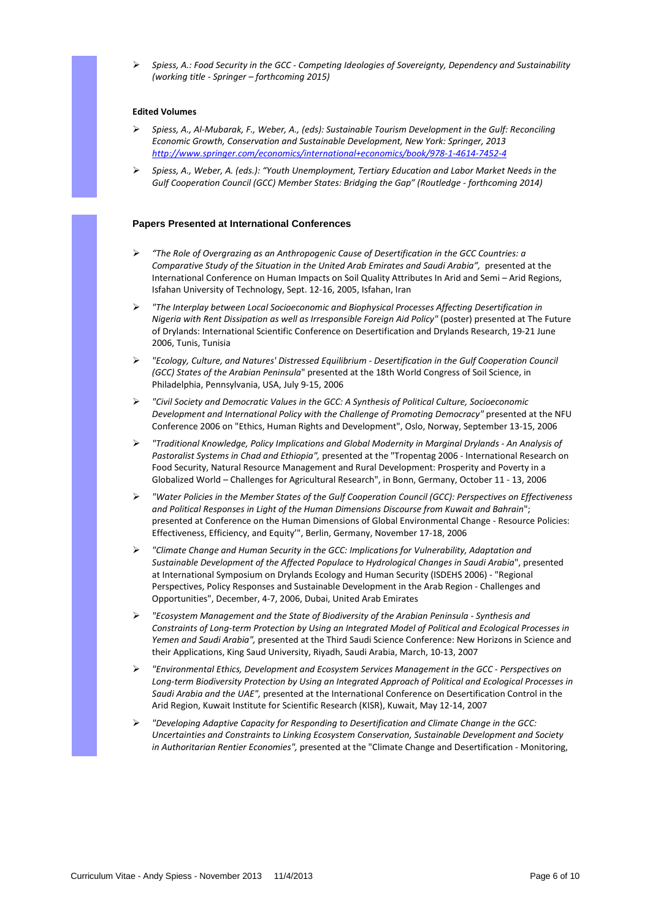*Spiess, A.: Food Security in the GCC - Competing Ideologies of Sovereignty, Dependency and Sustainability (working title - Springer – forthcoming 2015)* 

### **Edited Volumes**

- *Spiess, A., Al-Mubarak, F., Weber, A., (eds): Sustainable Tourism Development in the Gulf: Reconciling Economic Growth, Conservation and Sustainable Development, New York: Springer, 2013 http://www.springer.com/economics/international+economics/book/978-1-4614-7452-4*
- *Spiess, A., Weber, A. (eds.): "Youth Unemployment, Tertiary Education and Labor Market Needs in the Gulf Cooperation Council (GCC) Member States: Bridging the Gap" (Routledge - forthcoming 2014)*

# **Papers Presented at International Conferences**

- *"The Role of Overgrazing as an Anthropogenic Cause of Desertification in the GCC Countries: a Comparative Study of the Situation in the United Arab Emirates and Saudi Arabia",* presented at the International Conference on Human Impacts on Soil Quality Attributes In Arid and Semi – Arid Regions, Isfahan University of Technology, Sept. 12-16, 2005, Isfahan, Iran
- *"The Interplay between Local Socioeconomic and Biophysical Processes Affecting Desertification in Nigeria with Rent Dissipation as well as Irresponsible Foreign Aid Policy"* (poster) presented at The Future of Drylands: International Scientific Conference on Desertification and Drylands Research, 19-21 June 2006, Tunis, Tunisia
- *"Ecology, Culture, and Natures' Distressed Equilibrium Desertification in the Gulf Cooperation Council (GCC) States of the Arabian Peninsula*" presented at the 18th World Congress of Soil Science, in Philadelphia, Pennsylvania, USA, July 9-15, 2006
- *"Civil Society and Democratic Values in the GCC: A Synthesis of Political Culture, Socioeconomic Development and International Policy with the Challenge of Promoting Democracy"* presented at the NFU Conference 2006 on "Ethics, Human Rights and Development", Oslo, Norway, September 13-15, 2006
- *"Traditional Knowledge, Policy Implications and Global Modernity in Marginal Drylands An Analysis of Pastoralist Systems in Chad and Ethiopia",* presented at the "Tropentag 2006 - International Research on Food Security, Natural Resource Management and Rural Development: Prosperity and Poverty in a Globalized World – Challenges for Agricultural Research", in Bonn, Germany, October 11 - 13, 2006
- *"Water Policies in the Member States of the Gulf Cooperation Council (GCC): Perspectives on Effectiveness and Political Responses in Light of the Human Dimensions Discourse from Kuwait and Bahrain*"; presented at Conference on the Human Dimensions of Global Environmental Change - Resource Policies: Effectiveness, Efficiency, and Equity'", Berlin, Germany, November 17-18, 2006
- *"Climate Change and Human Security in the GCC: Implications for Vulnerability, Adaptation and Sustainable Development of the Affected Populace to Hydrological Changes in Saudi Arabia*", presented at International Symposium on Drylands Ecology and Human Security (ISDEHS 2006) - "Regional Perspectives, Policy Responses and Sustainable Development in the Arab Region - Challenges and Opportunities", December, 4-7, 2006, Dubai, United Arab Emirates
- *"Ecosystem Management and the State of Biodiversity of the Arabian Peninsula Synthesis and Constraints of Long-term Protection by Using an Integrated Model of Political and Ecological Processes in Yemen and Saudi Arabia",* presented at the Third Saudi Science Conference: New Horizons in Science and their Applications, King Saud University, Riyadh, Saudi Arabia, March, 10-13, 2007
- *"Environmental Ethics, Development and Ecosystem Services Management in the GCC Perspectives on Long-term Biodiversity Protection by Using an Integrated Approach of Political and Ecological Processes in Saudi Arabia and the UAE",* presented at the International Conference on Desertification Control in the Arid Region, Kuwait Institute for Scientific Research (KISR), Kuwait, May 12-14, 2007
- *"Developing Adaptive Capacity for Responding to Desertification and Climate Change in the GCC: Uncertainties and Constraints to Linking Ecosystem Conservation, Sustainable Development and Society in Authoritarian Rentier Economies",* presented at the "Climate Change and Desertification - Monitoring,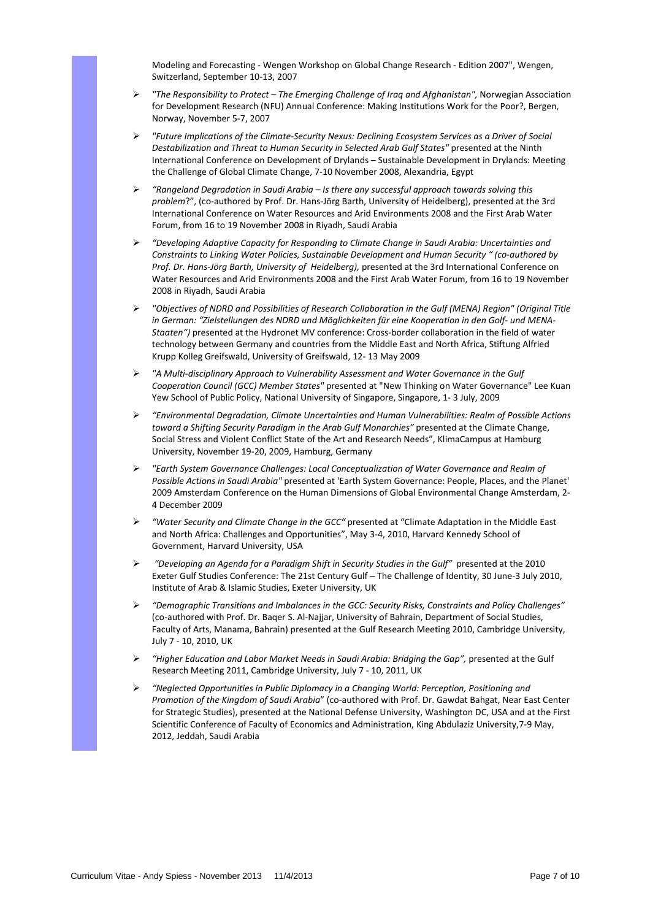Modeling and Forecasting - Wengen Workshop on Global Change Research - Edition 2007", Wengen, Switzerland, September 10-13, 2007

- *"The Responsibility to Protect The Emerging Challenge of Iraq and Afghanistan",* Norwegian Association for Development Research (NFU) Annual Conference: Making Institutions Work for the Poor?, Bergen, Norway, November 5-7, 2007
- *"Future Implications of the Climate-Security Nexus: Declining Ecosystem Services as a Driver of Social Destabilization and Threat to Human Security in Selected Arab Gulf States"* presented at the Ninth International Conference on Development of Drylands – Sustainable Development in Drylands: Meeting the Challenge of Global Climate Change, 7-10 November 2008, Alexandria, Egypt
- *"Rangeland Degradation in Saudi Arabia Is there any successful approach towards solving this problem*?", (co-authored by Prof. Dr. Hans-Jörg Barth, University of Heidelberg), presented at the 3rd International Conference on Water Resources and Arid Environments 2008 and the First Arab Water Forum, from 16 to 19 November 2008 in Riyadh, Saudi Arabia
- *"Developing Adaptive Capacity for Responding to Climate Change in Saudi Arabia: Uncertainties and Constraints to Linking Water Policies, Sustainable Development and Human Security " (co-authored by Prof. Dr. Hans-Jörg Barth, University of Heidelberg),* presented at the 3rd International Conference on Water Resources and Arid Environments 2008 and the First Arab Water Forum, from 16 to 19 November 2008 in Riyadh, Saudi Arabia
- *"Objectives of NDRD and Possibilities of Research Collaboration in the Gulf (MENA) Region" (Original Title in German: "Zielstellungen des NDRD und Möglichkeiten für eine Kooperation in den Golf- und MENA-Staaten")* presented at the Hydronet MV conference: Cross-border collaboration in the field of water technology between Germany and countries from the Middle East and North Africa, Stiftung Alfried Krupp Kolleg Greifswald, University of Greifswald, 12- 13 May 2009
- *"A Multi-disciplinary Approach to Vulnerability Assessment and Water Governance in the Gulf Cooperation Council (GCC) Member States"* presented at "New Thinking on Water Governance" Lee Kuan Yew School of Public Policy, National University of Singapore, Singapore, 1- 3 July, 2009
- *"Environmental Degradation, Climate Uncertainties and Human Vulnerabilities: Realm of Possible Actions toward a Shifting Security Paradigm in the Arab Gulf Monarchies"* presented at the Climate Change, Social Stress and Violent Conflict State of the Art and Research Needs", KlimaCampus at Hamburg University, November 19-20, 2009, Hamburg, Germany
- *"Earth System Governance Challenges: Local Conceptualization of Water Governance and Realm of Possible Actions in Saudi Arabia"* presented at 'Earth System Governance: People, Places, and the Planet' 2009 Amsterdam Conference on the Human Dimensions of Global Environmental Change Amsterdam, 2- 4 December 2009
- *"Water Security and Climate Change in the GCC"* presented at "Climate Adaptation in the Middle East and North Africa: Challenges and Opportunities", May 3-4, 2010, Harvard Kennedy School of Government, Harvard University, USA
- *"Developing an Agenda for a Paradigm Shift in Security Studies in the Gulf"* presented at the 2010 Exeter Gulf Studies Conference: The 21st Century Gulf – The Challenge of Identity, 30 June-3 July 2010, Institute of Arab & Islamic Studies, Exeter University, UK
- *"Demographic Transitions and Imbalances in the GCC: Security Risks, Constraints and Policy Challenges"* (co-authored with Prof. Dr. Baqer S. Al-Najjar, University of Bahrain, Department of Social Studies, Faculty of Arts, Manama, Bahrain) presented at the Gulf Research Meeting 2010, Cambridge University, July 7 - 10, 2010, UK
- *"Higher Education and Labor Market Needs in Saudi Arabia: Bridging the Gap",* presented at the Gulf Research Meeting 2011, Cambridge University, July 7 - 10, 2011, UK
- *"Neglected Opportunities in Public Diplomacy in a Changing World: Perception, Positioning and Promotion of the Kingdom of Saudi Arabia*" (co-authored with Prof. Dr. Gawdat Bahgat, Near East Center for Strategic Studies), presented at the National Defense University, Washington DC, USA and at the First Scientific Conference of Faculty of Economics and Administration, King Abdulaziz University,7-9 May, 2012, Jeddah, Saudi Arabia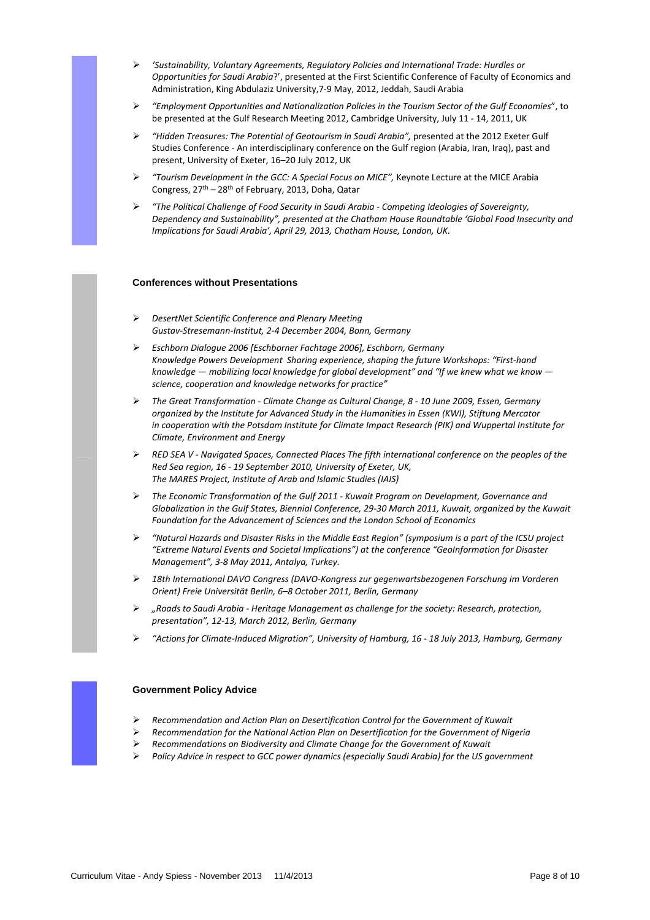- *'Sustainability, Voluntary Agreements, Regulatory Policies and International Trade: Hurdles or Opportunities for Saudi Arabia*?', presented at the First Scientific Conference of Faculty of Economics and Administration, King Abdulaziz University,7-9 May, 2012, Jeddah, Saudi Arabia
- *"Employment Opportunities and Nationalization Policies in the Tourism Sector of the Gulf Economies*", to be presented at the Gulf Research Meeting 2012, Cambridge University, July 11 - 14, 2011, UK
- *"Hidden Treasures: The Potential of Geotourism in Saudi Arabia",* presented at the 2012 Exeter Gulf Studies Conference - An interdisciplinary conference on the Gulf region (Arabia, Iran, Iraq), past and present, University of Exeter, 16–20 July 2012, UK
- *"Tourism Development in the GCC: A Special Focus on MICE",* Keynote Lecture at the MICE Arabia Congress, 27th – 28th of February, 2013, Doha, Qatar
- *"The Political Challenge of Food Security in Saudi Arabia Competing Ideologies of Sovereignty, Dependency and Sustainability", presented at the Chatham House Roundtable 'Global Food Insecurity and Implications for Saudi Arabia', April 29, 2013, Chatham House, London, UK.*

# **Conferences without Presentations**

- *DesertNet Scientific Conference and Plenary Meeting Gustav-Stresemann-Institut, 2-4 December 2004, Bonn, Germany*
- *Eschborn Dialogue 2006 [Eschborner Fachtage 2006], Eschborn, Germany Knowledge Powers Development Sharing experience, shaping the future Workshops: "First-hand knowledge — mobilizing local knowledge for global development" and "If we knew what we know science, cooperation and knowledge networks for practice"*
- *The Great Transformation Climate Change as Cultural Change, 8 10 June 2009, Essen, Germany organized by the Institute for Advanced Study in the Humanities in Essen (KWI), Stiftung Mercator in cooperation with the Potsdam Institute for Climate Impact Research (PIK) and Wuppertal Institute for Climate, Environment and Energy*
- *RED SEA V Navigated Spaces, Connected Places The fifth international conference on the peoples of the Red Sea region, 16 - 19 September 2010, University of Exeter, UK, The MARES Project, Institute of Arab and Islamic Studies (IAIS)*
- *The Economic Transformation of the Gulf 2011 Kuwait Program on Development, Governance and Globalization in the Gulf States, Biennial Conference, 29-30 March 2011, Kuwait, organized by the Kuwait Foundation for the Advancement of Sciences and the London School of Economics*
- *"Natural Hazards and Disaster Risks in the Middle East Region" (symposium is a part of the ICSU project "Extreme Natural Events and Societal Implications") at the conference "GeoInformation for Disaster Management", 3-8 May 2011, Antalya, Turkey.*
- *18th International DAVO Congress (DAVO-Kongress zur gegenwartsbezogenen Forschung im Vorderen Orient) Freie Universität Berlin, 6–8 October 2011, Berlin, Germany*
- *"Roads to Saudi Arabia Heritage Management as challenge for the society: Research, protection, presentation", 12-13, March 2012, Berlin, Germany*
- *"Actions for Climate-Induced Migration", University of Hamburg, 16 18 July 2013, Hamburg, Germany*



# **Government Policy Advice**

- *Recommendation and Action Plan on Desertification Control for the Government of Kuwait*
- *Recommendation for the National Action Plan on Desertification for the Government of Nigeria*
- *Recommendations on Biodiversity and Climate Change for the Government of Kuwait*
- *Policy Advice in respect to GCC power dynamics (especially Saudi Arabia) for the US government*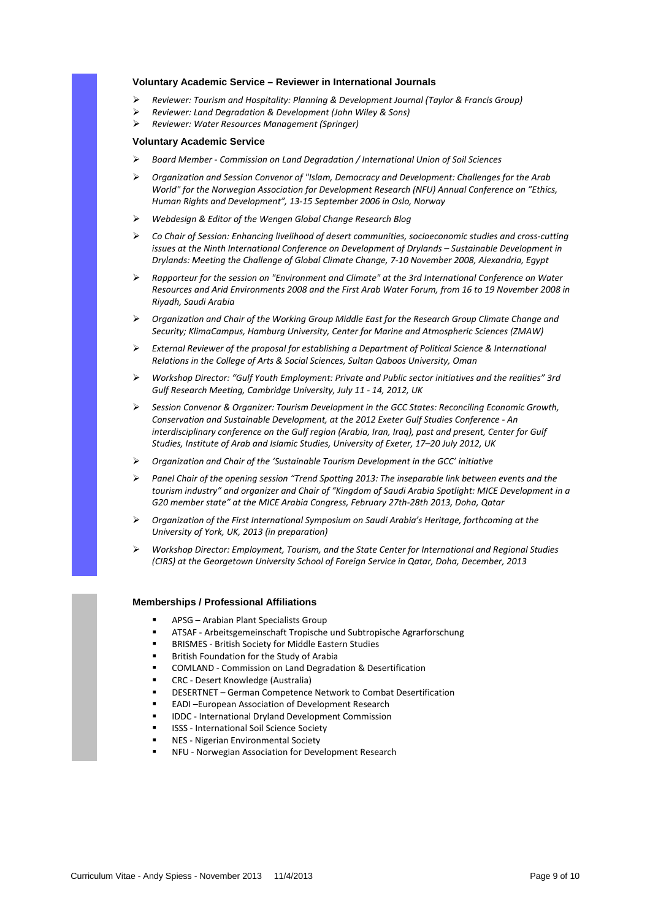#### **Voluntary Academic Service – Reviewer in International Journals**

- *Reviewer: Tourism and Hospitality: Planning & Development Journal (Taylor & Francis Group)*
- *Reviewer: Land Degradation & Development (John Wiley & Sons)*
- *Reviewer: Water Resources Management (Springer)*

### **Voluntary Academic Service**

- *Board Member Commission on Land Degradation / International Union of Soil Sciences*
- *Organization and Session Convenor of "Islam, Democracy and Development: Challenges for the Arab World" for the Norwegian Association for Development Research (NFU) Annual Conference on "Ethics, Human Rights and Development", 13-15 September 2006 in Oslo, Norway*
- *Webdesign & Editor of the Wengen Global Change Research Blog*
- *Co Chair of Session: Enhancing livelihood of desert communities, socioeconomic studies and cross-cutting issues at the Ninth International Conference on Development of Drylands – Sustainable Development in Drylands: Meeting the Challenge of Global Climate Change, 7-10 November 2008, Alexandria, Egypt*
- *Rapporteur for the session on "Environment and Climate" at the 3rd International Conference on Water Resources and Arid Environments 2008 and the First Arab Water Forum, from 16 to 19 November 2008 in Riyadh, Saudi Arabia*
- *Organization and Chair of the Working Group Middle East for the Research Group Climate Change and Security; KlimaCampus, Hamburg University, Center for Marine and Atmospheric Sciences (ZMAW)*
- *External Reviewer of the proposal for establishing a Department of Political Science & International Relations in the College of Arts & Social Sciences, Sultan Qaboos University, Oman*
- *Workshop Director: "Gulf Youth Employment: Private and Public sector initiatives and the realities" 3rd Gulf Research Meeting, Cambridge University, July 11 - 14, 2012, UK*
- *Session Convenor & Organizer: Tourism Development in the GCC States: Reconciling Economic Growth, Conservation and Sustainable Development, at the 2012 Exeter Gulf Studies Conference - An interdisciplinary conference on the Gulf region (Arabia, Iran, Iraq), past and present, Center for Gulf Studies, Institute of Arab and Islamic Studies, University of Exeter, 17–20 July 2012, UK*
- *Organization and Chair of the 'Sustainable Tourism Development in the GCC' initiative*
- *Panel Chair of the opening session "Trend Spotting 2013: The inseparable link between events and the tourism industry" and organizer and Chair of "Kingdom of Saudi Arabia Spotlight: MICE Development in a G20 member state" at the MICE Arabia Congress, February 27th-28th 2013, Doha, Qatar*
- *Organization of the First International Symposium on Saudi Arabia's Heritage, forthcoming at the University of York, UK, 2013 (in preparation)*
- *Workshop Director: Employment, Tourism, and the State Center for International and Regional Studies (CIRS) at the Georgetown University School of Foreign Service in Qatar, Doha, December, 2013*

#### **Memberships / Professional Affiliations**

- -APSG – Arabian Plant Specialists Group
- -ATSAF - Arbeitsgemeinschaft Tropische und Subtropische Agrarforschung
- -BRISMES - British Society for Middle Eastern Studies
- -British Foundation for the Study of Arabia
- -COMLAND - Commission on Land Degradation & Desertification
- -CRC - Desert Knowledge (Australia)
- -DESERTNET – German Competence Network to Combat Desertification
- -EADI –European Association of Development Research
- -IDDC - International Dryland Development Commission
- -ISSS - International Soil Science Society
- -NES - Nigerian Environmental Society
- -NFU - Norwegian Association for Development Research